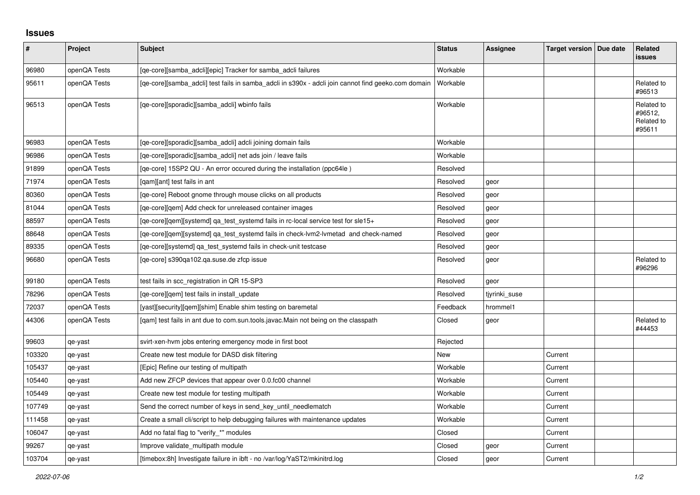## **Issues**

| #      | Project      | Subject                                                                                             | <b>Status</b> | Assignee      | Target version   Due date | Related<br><b>issues</b>                      |
|--------|--------------|-----------------------------------------------------------------------------------------------------|---------------|---------------|---------------------------|-----------------------------------------------|
| 96980  | openQA Tests | [qe-core][samba_adcli][epic] Tracker for samba_adcli failures                                       | Workable      |               |                           |                                               |
| 95611  | openQA Tests | [qe-core][samba_adcli] test fails in samba_adcli in s390x - adcli join cannot find geeko.com domain | Workable      |               |                           | Related to<br>#96513                          |
| 96513  | openQA Tests | [qe-core][sporadic][samba_adcli] wbinfo fails                                                       | Workable      |               |                           | Related to<br>#96512,<br>Related to<br>#95611 |
| 96983  | openQA Tests | [qe-core][sporadic][samba_adcli] adcli joining domain fails                                         | Workable      |               |                           |                                               |
| 96986  | openQA Tests | [qe-core][sporadic][samba_adcli] net ads join / leave fails                                         | Workable      |               |                           |                                               |
| 91899  | openQA Tests | [qe-core] 15SP2 QU - An error occured during the installation (ppc64le)                             | Resolved      |               |                           |                                               |
| 71974  | openQA Tests | [qam][ant] test fails in ant                                                                        | Resolved      | geor          |                           |                                               |
| 80360  | openQA Tests | [ge-core] Reboot gnome through mouse clicks on all products                                         | Resolved      | geor          |                           |                                               |
| 81044  | openQA Tests | [ge-core][gem] Add check for unreleased container images                                            | Resolved      | geor          |                           |                                               |
| 88597  | openQA Tests | [qe-core][qem][systemd] qa_test_systemd fails in rc-local service test for sle15+                   | Resolved      | geor          |                           |                                               |
| 88648  | openQA Tests | [qe-core][qem][systemd] qa_test_systemd fails in check-lvm2-lvmetad and check-named                 | Resolved      | geor          |                           |                                               |
| 89335  | openQA Tests | [ge-core][systemd] ga test systemd fails in check-unit testcase                                     | Resolved      | geor          |                           |                                               |
| 96680  | openQA Tests | [qe-core] s390qa102.qa.suse.de zfcp issue                                                           | Resolved      | geor          |                           | Related to<br>#96296                          |
| 99180  | openQA Tests | test fails in scc_registration in QR 15-SP3                                                         | Resolved      | geor          |                           |                                               |
| 78296  | openQA Tests | [ge-core][gem] test fails in install update                                                         | Resolved      | tjyrinki_suse |                           |                                               |
| 72037  | openQA Tests | [yast][security][qem][shim] Enable shim testing on baremetal                                        | Feedback      | hrommel1      |                           |                                               |
| 44306  | openQA Tests | [qam] test fails in ant due to com.sun.tools.javac.Main not being on the classpath                  | Closed        | geor          |                           | Related to<br>#44453                          |
| 99603  | qe-yast      | svirt-xen-hvm jobs entering emergency mode in first boot                                            | Rejected      |               |                           |                                               |
| 103320 | qe-yast      | Create new test module for DASD disk filtering                                                      | <b>New</b>    |               | Current                   |                                               |
| 105437 | qe-yast      | [Epic] Refine our testing of multipath                                                              | Workable      |               | Current                   |                                               |
| 105440 | qe-yast      | Add new ZFCP devices that appear over 0.0.fc00 channel                                              | Workable      |               | Current                   |                                               |
| 105449 | qe-yast      | Create new test module for testing multipath                                                        | Workable      |               | Current                   |                                               |
| 107749 | qe-yast      | Send the correct number of keys in send_key_until_needlematch                                       | Workable      |               | Current                   |                                               |
| 111458 | qe-yast      | Create a small cli/script to help debugging failures with maintenance updates                       | Workable      |               | Current                   |                                               |
| 106047 | qe-yast      | Add no fatal flag to "verify_*" modules                                                             | Closed        |               | Current                   |                                               |
| 99267  | qe-yast      | Improve validate_multipath module                                                                   | Closed        | geor          | Current                   |                                               |
| 103704 | qe-yast      | [timebox:8h] Investigate failure in ibft - no /var/log/YaST2/mkinitrd.log                           | Closed        | geor          | Current                   |                                               |